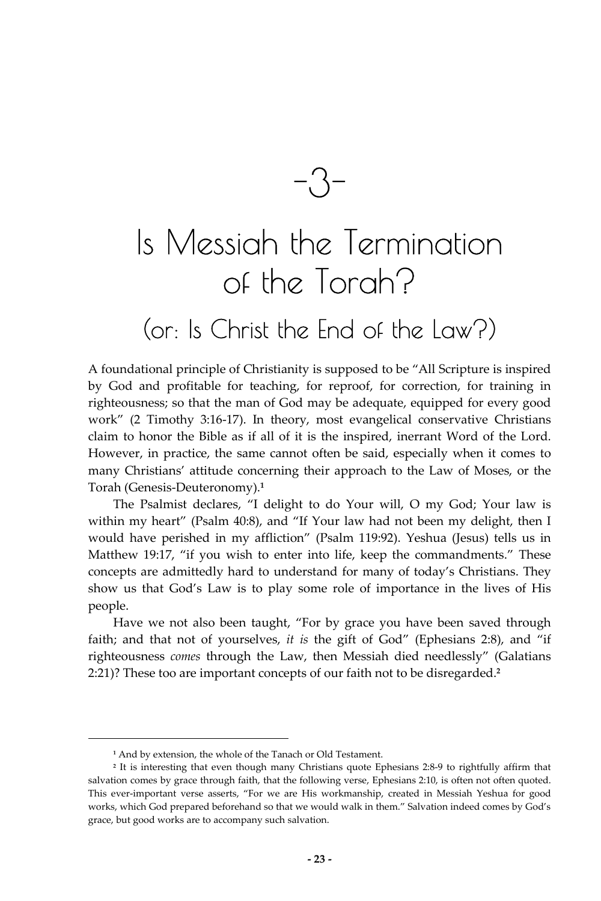$-3$ 

# Is Messiah the Termination of the Torah?

# (or: Is Christ the End of the Law?)

A foundational principle of Christianity is supposed to be "All Scripture is inspired by God and profitable for teaching, for reproof, for correction, for training in righteousness; so that the man of God may be adequate, equipped for every good work" (2 Timothy 3:16-17). In theory, most evangelical conservative Christians claim to honor the Bible as if all of it is the inspired, inerrant Word of the Lord. However, in practice, the same cannot often be said, especially when it comes to many Christians' attitude concerning their approach to the Law of Moses, or the Torah (Genesis-Deuteronomy).**<sup>1</sup>**

The Psalmist declares, "I delight to do Your will, O my God; Your law is within my heart" (Psalm 40:8), and "If Your law had not been my delight, then I would have perished in my affliction" (Psalm 119:92). Yeshua (Jesus) tells us in Matthew 19:17, "if you wish to enter into life, keep the commandments." These concepts are admittedly hard to understand for many of today's Christians. They show us that God's Law is to play some role of importance in the lives of His people.

Have we not also been taught, "For by grace you have been saved through faith; and that not of yourselves, *it is* the gift of God" (Ephesians 2:8), and "if righteousness *comes* through the Law, then Messiah died needlessly" (Galatians 2:21)? These too are important concepts of our faith not to be disregarded.**<sup>2</sup>**

**<sup>1</sup>** And by extension, the whole of the Tanach or Old Testament.

**<sup>2</sup>** It is interesting that even though many Christians quote Ephesians 2:8-9 to rightfully affirm that salvation comes by grace through faith, that the following verse, Ephesians 2:10, is often not often quoted. This ever-important verse asserts, "For we are His workmanship, created in Messiah Yeshua for good works, which God prepared beforehand so that we would walk in them." Salvation indeed comes by God's grace, but good works are to accompany such salvation.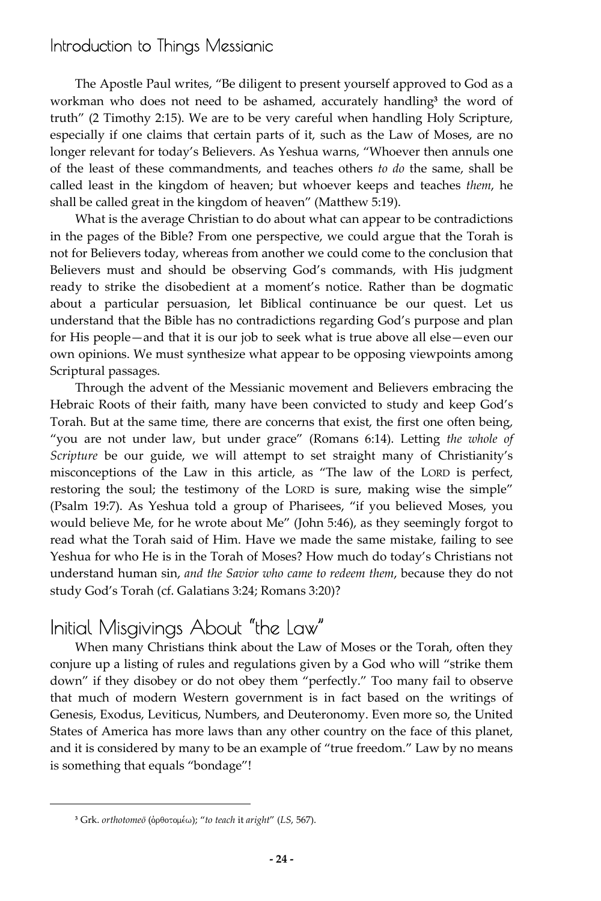The Apostle Paul writes, "Be diligent to present yourself approved to God as a workman who does not need to be ashamed, accurately handling**<sup>3</sup>** the word of truth" (2 Timothy 2:15). We are to be very careful when handling Holy Scripture, especially if one claims that certain parts of it, such as the Law of Moses, are no longer relevant for today's Believers. As Yeshua warns, "Whoever then annuls one of the least of these commandments, and teaches others *to do* the same, shall be called least in the kingdom of heaven; but whoever keeps and teaches *them*, he shall be called great in the kingdom of heaven" (Matthew 5:19).

What is the average Christian to do about what can appear to be contradictions in the pages of the Bible? From one perspective, we could argue that the Torah is not for Believers today, whereas from another we could come to the conclusion that Believers must and should be observing God's commands, with His judgment ready to strike the disobedient at a moment's notice. Rather than be dogmatic about a particular persuasion, let Biblical continuance be our quest. Let us understand that the Bible has no contradictions regarding God's purpose and plan for His people—and that it is our job to seek what is true above all else—even our own opinions. We must synthesize what appear to be opposing viewpoints among Scriptural passages.

Through the advent of the Messianic movement and Believers embracing the Hebraic Roots of their faith, many have been convicted to study and keep God's Torah. But at the same time, there are concerns that exist, the first one often being, "you are not under law, but under grace" (Romans 6:14). Letting *the whole of Scripture* be our guide, we will attempt to set straight many of Christianity's misconceptions of the Law in this article, as "The law of the LORD is perfect, restoring the soul; the testimony of the LORD is sure, making wise the simple" (Psalm 19:7). As Yeshua told a group of Pharisees, "if you believed Moses, you would believe Me, for he wrote about Me" (John 5:46), as they seemingly forgot to read what the Torah said of Him. Have we made the same mistake, failing to see Yeshua for who He is in the Torah of Moses? How much do today's Christians not understand human sin, *and the Savior who came to redeem them*, because they do not study God's Torah (cf. Galatians 3:24; Romans 3:20)?

## Initial Misgivings About "the Law"

When many Christians think about the Law of Moses or the Torah, often they conjure up a listing of rules and regulations given by a God who will "strike them down" if they disobey or do not obey them "perfectly." Too many fail to observe that much of modern Western government is in fact based on the writings of Genesis, Exodus, Leviticus, Numbers, and Deuteronomy. Even more so, the United States of America has more laws than any other country on the face of this planet, and it is considered by many to be an example of "true freedom." Law by no means is something that equals "bondage"!

<sup>&</sup>lt;sup>3</sup> Grk. *orthotomeō* (ὀρθοτομέω); "to teach it *aright*" (*LS*, 567).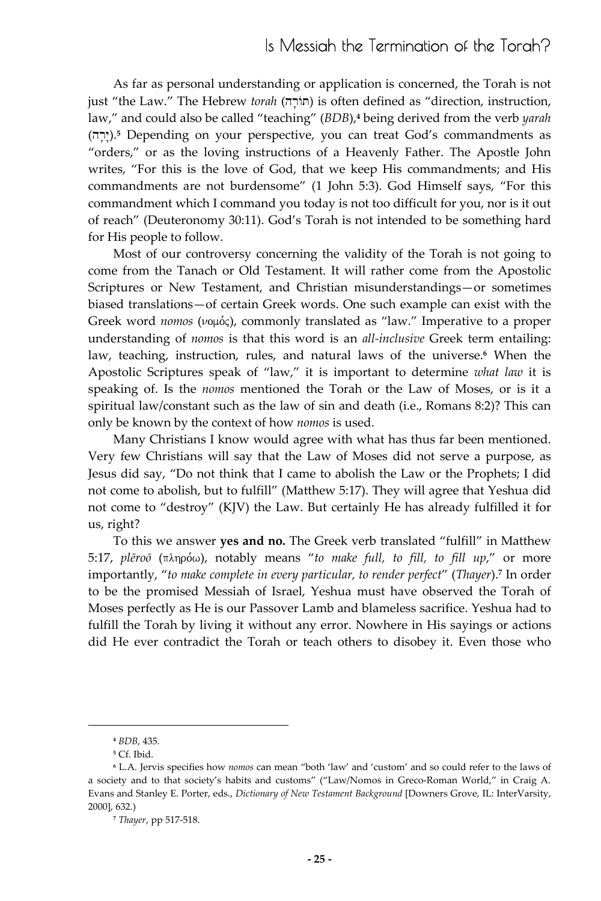#### Is Messiah the Termination of the Torah?

As far as personal understanding or application is concerned, the Torah is not just "the Law." The Hebrew *torah* (hr'AT) is often defined as "direction, instruction, law," and could also be called "teaching" (*BDB*),**<sup>4</sup>** being derived from the verb *yarah* יִרְה).<sup>5</sup> Depending on your perspective, you can treat God's commandments as "orders," or as the loving instructions of a Heavenly Father. The Apostle John writes, "For this is the love of God, that we keep His commandments; and His commandments are not burdensome" (1 John 5:3). God Himself says, "For this commandment which I command you today is not too difficult for you, nor is it out of reach" (Deuteronomy 30:11). God's Torah is not intended to be something hard for His people to follow.

Most of our controversy concerning the validity of the Torah is not going to come from the Tanach or Old Testament. It will rather come from the Apostolic Scriptures or New Testament, and Christian misunderstandings—or sometimes biased translations—of certain Greek words. One such example can exist with the Greek word *nomos* ( $\nu$ <sup>o</sup>), commonly translated as "law." Imperative to a proper understanding of *nomos* is that this word is an *all-inclusive* Greek term entailing: law, teaching, instruction, rules, and natural laws of the universe.**<sup>6</sup>** When the Apostolic Scriptures speak of "law," it is important to determine *what law* it is speaking of. Is the *nomos* mentioned the Torah or the Law of Moses, or is it a spiritual law/constant such as the law of sin and death (i.e., Romans 8:2)? This can only be known by the context of how *nomos* is used.

Many Christians I know would agree with what has thus far been mentioned. Very few Christians will say that the Law of Moses did not serve a purpose, as Jesus did say, "Do not think that I came to abolish the Law or the Prophets; I did not come to abolish, but to fulfill" (Matthew 5:17). They will agree that Yeshua did not come to "destroy" (KJV) the Law. But certainly He has already fulfilled it for us, right?

To this we answer **yes and no.** The Greek verb translated "fulfill" in Matthew 5:17, *plēroō* (πληρόω), notably means "to make full, to fill, to fill up," or more importantly, "*to make complete in every particular, to render perfect*" (*Thayer*).**<sup>7</sup>** In order to be the promised Messiah of Israel, Yeshua must have observed the Torah of Moses perfectly as He is our Passover Lamb and blameless sacrifice. Yeshua had to fulfill the Torah by living it without any error. Nowhere in His sayings or actions did He ever contradict the Torah or teach others to disobey it. Even those who

**<sup>4</sup>** *BDB*, 435.

**<sup>5</sup>** Cf. Ibid.

**<sup>6</sup>** L.A. Jervis specifies how *nomos* can mean "both 'law' and 'custom' and so could refer to the laws of a society and to that society's habits and customs" ("Law/Nomos in Greco-Roman World," in Craig A. Evans and Stanley E. Porter, eds., *Dictionary of New Testament Background* [Downers Grove, IL: InterVarsity, 2000], 632.)

**<sup>7</sup>** *Thayer*, pp 517-518.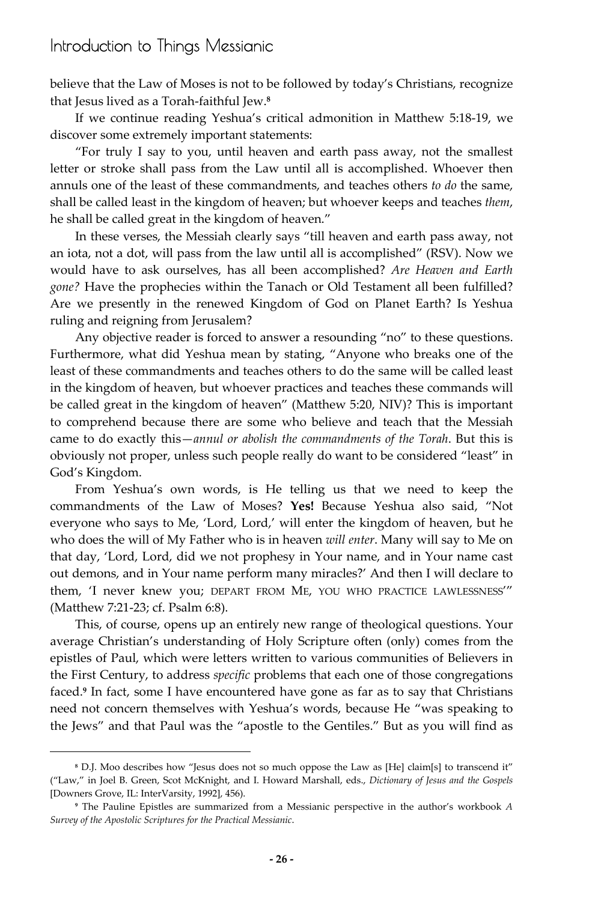believe that the Law of Moses is not to be followed by today's Christians, recognize that Jesus lived as a Torah-faithful Jew.**<sup>8</sup>**

If we continue reading Yeshua's critical admonition in Matthew 5:18-19, we discover some extremely important statements:

"For truly I say to you, until heaven and earth pass away, not the smallest letter or stroke shall pass from the Law until all is accomplished. Whoever then annuls one of the least of these commandments, and teaches others *to do* the same, shall be called least in the kingdom of heaven; but whoever keeps and teaches *them*, he shall be called great in the kingdom of heaven."

In these verses, the Messiah clearly says "till heaven and earth pass away, not an iota, not a dot, will pass from the law until all is accomplished" (RSV). Now we would have to ask ourselves, has all been accomplished? *Are Heaven and Earth gone?* Have the prophecies within the Tanach or Old Testament all been fulfilled? Are we presently in the renewed Kingdom of God on Planet Earth? Is Yeshua ruling and reigning from Jerusalem?

Any objective reader is forced to answer a resounding "no" to these questions. Furthermore, what did Yeshua mean by stating, "Anyone who breaks one of the least of these commandments and teaches others to do the same will be called least in the kingdom of heaven, but whoever practices and teaches these commands will be called great in the kingdom of heaven" (Matthew 5:20, NIV)? This is important to comprehend because there are some who believe and teach that the Messiah came to do exactly this—*annul or abolish the commandments of the Torah*. But this is obviously not proper, unless such people really do want to be considered "least" in God's Kingdom.

From Yeshua's own words, is He telling us that we need to keep the commandments of the Law of Moses? **Yes!** Because Yeshua also said, "Not everyone who says to Me, 'Lord, Lord,' will enter the kingdom of heaven, but he who does the will of My Father who is in heaven *will enter*. Many will say to Me on that day, 'Lord, Lord, did we not prophesy in Your name, and in Your name cast out demons, and in Your name perform many miracles?' And then I will declare to them, 'I never knew you; DEPART FROM ME, YOU WHO PRACTICE LAWLESSNESS'" (Matthew 7:21-23; cf. Psalm 6:8).

This, of course, opens up an entirely new range of theological questions. Your average Christian's understanding of Holy Scripture often (only) comes from the epistles of Paul, which were letters written to various communities of Believers in the First Century, to address *specific* problems that each one of those congregations faced.<sup>9</sup> In fact, some I have encountered have gone as far as to say that Christians need not concern themselves with Yeshua's words, because He "was speaking to the Jews" and that Paul was the "apostle to the Gentiles." But as you will find as

**<sup>8</sup>** D.J. Moo describes how "Jesus does not so much oppose the Law as [He] claim[s] to transcend it" ("Law," in Joel B. Green, Scot McKnight, and I. Howard Marshall, eds., *Dictionary of Jesus and the Gospels* [Downers Grove, IL: InterVarsity, 1992], 456).

**<sup>9</sup>** The Pauline Epistles are summarized from a Messianic perspective in the author's workbook *A Survey of the Apostolic Scriptures for the Practical Messianic*.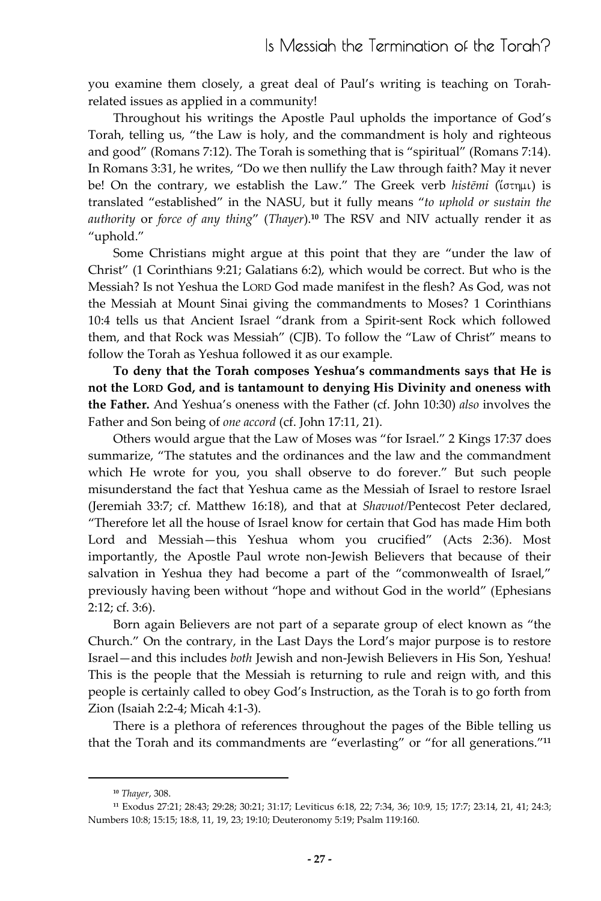you examine them closely, a great deal of Paul's writing is teaching on Torahrelated issues as applied in a community!

Throughout his writings the Apostle Paul upholds the importance of God's Torah, telling us, "the Law is holy, and the commandment is holy and righteous and good" (Romans 7:12). The Torah is something that is "spiritual" (Romans 7:14). In Romans 3:31, he writes, "Do we then nullify the Law through faith? May it never be! On the contrary, we establish the Law." The Greek verb histēmi (ίστημι) is translated "established" in the NASU, but it fully means "*to uphold or sustain the authority* or *force of any thing*" (*Thayer*).**<sup>10</sup>** The RSV and NIV actually render it as "uphold."

Some Christians might argue at this point that they are "under the law of Christ" (1 Corinthians 9:21; Galatians 6:2), which would be correct. But who is the Messiah? Is not Yeshua the LORD God made manifest in the flesh? As God, was not the Messiah at Mount Sinai giving the commandments to Moses? 1 Corinthians 10:4 tells us that Ancient Israel "drank from a Spirit-sent Rock which followed them, and that Rock was Messiah" (CJB). To follow the "Law of Christ" means to follow the Torah as Yeshua followed it as our example.

**To deny that the Torah composes Yeshua's commandments says that He is not the LORD God, and is tantamount to denying His Divinity and oneness with the Father.** And Yeshua's oneness with the Father (cf. John 10:30) *also* involves the Father and Son being of *one accord* (cf. John 17:11, 21).

Others would argue that the Law of Moses was "for Israel." 2 Kings 17:37 does summarize, "The statutes and the ordinances and the law and the commandment which He wrote for you, you shall observe to do forever." But such people misunderstand the fact that Yeshua came as the Messiah of Israel to restore Israel (Jeremiah 33:7; cf. Matthew 16:18), and that at *Shavuot/*Pentecost Peter declared, "Therefore let all the house of Israel know for certain that God has made Him both Lord and Messiah—this Yeshua whom you crucified" (Acts 2:36). Most importantly, the Apostle Paul wrote non-Jewish Believers that because of their salvation in Yeshua they had become a part of the "commonwealth of Israel," previously having been without "hope and without God in the world" (Ephesians 2:12; cf. 3:6).

Born again Believers are not part of a separate group of elect known as "the Church." On the contrary, in the Last Days the Lord's major purpose is to restore Israel—and this includes *both* Jewish and non-Jewish Believers in His Son, Yeshua! This is the people that the Messiah is returning to rule and reign with, and this people is certainly called to obey God's Instruction, as the Torah is to go forth from Zion (Isaiah 2:2-4; Micah 4:1-3).

There is a plethora of references throughout the pages of the Bible telling us that the Torah and its commandments are "everlasting" or "for all generations."**<sup>11</sup>**

**<sup>10</sup>** *Thayer*, 308.

**<sup>11</sup>** Exodus 27:21; 28:43; 29:28; 30:21; 31:17; Leviticus 6:18, 22; 7:34, 36; 10:9, 15; 17:7; 23:14, 21, 41; 24:3; Numbers 10:8; 15:15; 18:8, 11, 19, 23; 19:10; Deuteronomy 5:19; Psalm 119:160.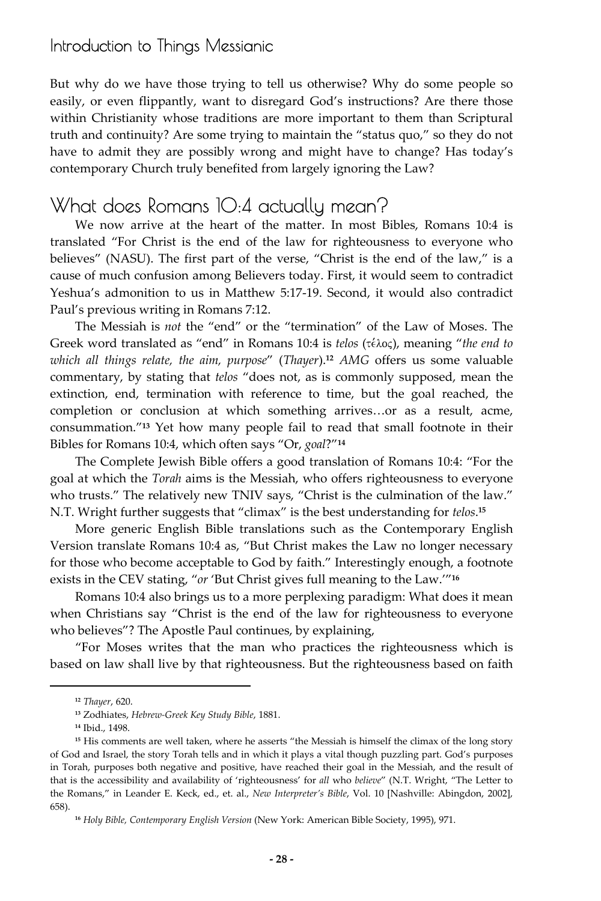But why do we have those trying to tell us otherwise? Why do some people so easily, or even flippantly, want to disregard God's instructions? Are there those within Christianity whose traditions are more important to them than Scriptural truth and continuity? Are some trying to maintain the "status quo," so they do not have to admit they are possibly wrong and might have to change? Has today's contemporary Church truly benefited from largely ignoring the Law?

## What does Romans 10:4 actually mean?

We now arrive at the heart of the matter. In most Bibles, Romans 10:4 is translated "For Christ is the end of the law for righteousness to everyone who believes" (NASU). The first part of the verse, "Christ is the end of the law," is a cause of much confusion among Believers today. First, it would seem to contradict Yeshua's admonition to us in Matthew 5:17-19. Second, it would also contradict Paul's previous writing in Romans 7:12.

The Messiah is *not* the "end" or the "termination" of the Law of Moses. The Greek word translated as "end" in Romans 10:4 is *telos* (τέλος), meaning "*the end to which all things relate, the aim, purpose*" (*Thayer*).**<sup>12</sup>** *AMG* offers us some valuable commentary, by stating that *telos* "does not, as is commonly supposed, mean the extinction, end, termination with reference to time, but the goal reached, the completion or conclusion at which something arrives…or as a result, acme, consummation."**<sup>13</sup>** Yet how many people fail to read that small footnote in their Bibles for Romans 10:4, which often says "Or, *goal*?"**<sup>14</sup>**

The Complete Jewish Bible offers a good translation of Romans 10:4: "For the goal at which the *Torah* aims is the Messiah, who offers righteousness to everyone who trusts." The relatively new TNIV says, "Christ is the culmination of the law." N.T. Wright further suggests that "climax" is the best understanding for *telos*. **15**

More generic English Bible translations such as the Contemporary English Version translate Romans 10:4 as, "But Christ makes the Law no longer necessary for those who become acceptable to God by faith." Interestingly enough, a footnote exists in the CEV stating, "*or* 'But Christ gives full meaning to the Law.'"**<sup>16</sup>**

Romans 10:4 also brings us to a more perplexing paradigm: What does it mean when Christians say "Christ is the end of the law for righteousness to everyone who believes"? The Apostle Paul continues, by explaining,

"For Moses writes that the man who practices the righteousness which is based on law shall live by that righteousness. But the righteousness based on faith

**<sup>12</sup>** *Thayer*, 620.

**<sup>13</sup>** Zodhiates, *Hebrew-Greek Key Study Bible*, 1881.

**<sup>14</sup>** Ibid., 1498.

<sup>&</sup>lt;sup>15</sup> His comments are well taken, where he asserts "the Messiah is himself the climax of the long story of God and Israel, the story Torah tells and in which it plays a vital though puzzling part. God's purposes in Torah, purposes both negative and positive, have reached their goal in the Messiah, and the result of that is the accessibility and availability of 'righteousness' for *all* who *believe*" (N.T. Wright, "The Letter to the Romans," in Leander E. Keck, ed., et. al., *New Interpreter's Bible*, Vol. 10 [Nashville: Abingdon, 2002], 658).

**<sup>16</sup>** *Holy Bible, Contemporary English Version* (New York: American Bible Society, 1995), 971.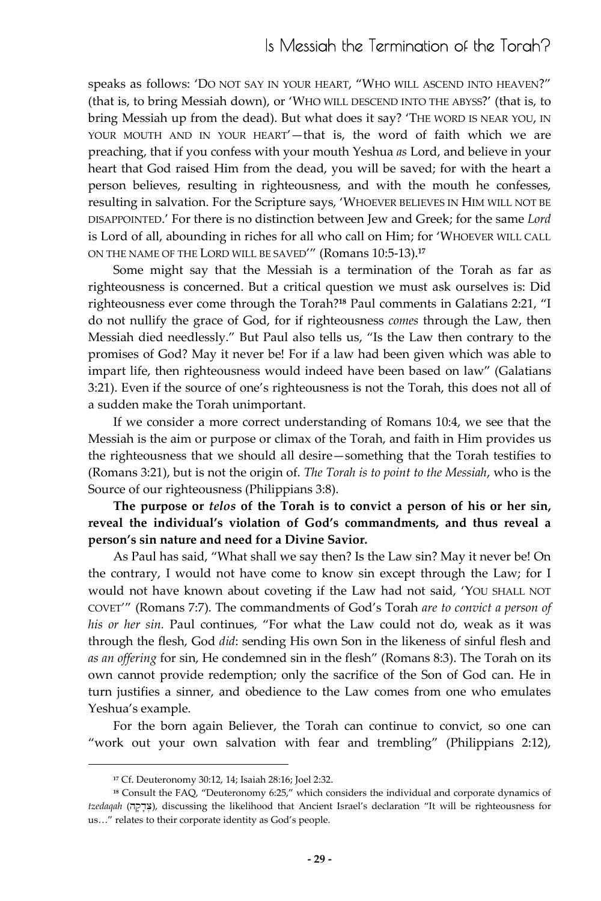speaks as follows: 'DO NOT SAY IN YOUR HEART, "WHO WILL ASCEND INTO HEAVEN?" (that is, to bring Messiah down), or 'WHO WILL DESCEND INTO THE ABYSS?' (that is, to bring Messiah up from the dead). But what does it say? 'THE WORD IS NEAR YOU, IN YOUR MOUTH AND IN YOUR HEART'—that is, the word of faith which we are preaching, that if you confess with your mouth Yeshua *as* Lord, and believe in your heart that God raised Him from the dead, you will be saved; for with the heart a person believes, resulting in righteousness, and with the mouth he confesses, resulting in salvation. For the Scripture says, 'WHOEVER BELIEVES IN HIM WILL NOT BE DISAPPOINTED.' For there is no distinction between Jew and Greek; for the same *Lord*  is Lord of all, abounding in riches for all who call on Him; for 'WHOEVER WILL CALL ON THE NAME OF THE LORD WILL BE SAVED'" (Romans 10:5-13).**<sup>17</sup>**

Some might say that the Messiah is a termination of the Torah as far as righteousness is concerned. But a critical question we must ask ourselves is: Did righteousness ever come through the Torah?**<sup>18</sup>** Paul comments in Galatians 2:21, "I do not nullify the grace of God, for if righteousness *comes* through the Law, then Messiah died needlessly." But Paul also tells us, "Is the Law then contrary to the promises of God? May it never be! For if a law had been given which was able to impart life, then righteousness would indeed have been based on law" (Galatians 3:21). Even if the source of one's righteousness is not the Torah, this does not all of a sudden make the Torah unimportant.

If we consider a more correct understanding of Romans 10:4, we see that the Messiah is the aim or purpose or climax of the Torah, and faith in Him provides us the righteousness that we should all desire—something that the Torah testifies to (Romans 3:21), but is not the origin of. *The Torah is to point to the Messiah*, who is the Source of our righteousness (Philippians 3:8).

**The purpose or** *telos* **of the Torah is to convict a person of his or her sin, reveal the individual's violation of God's commandments, and thus reveal a person's sin nature and need for a Divine Savior.**

As Paul has said, "What shall we say then? Is the Law sin? May it never be! On the contrary, I would not have come to know sin except through the Law; for I would not have known about coveting if the Law had not said, 'YOU SHALL NOT COVET'" (Romans 7:7). The commandments of God's Torah *are to convict a person of his or her sin.* Paul continues, "For what the Law could not do, weak as it was through the flesh, God *did*: sending His own Son in the likeness of sinful flesh and *as an offering* for sin, He condemned sin in the flesh" (Romans 8:3). The Torah on its own cannot provide redemption; only the sacrifice of the Son of God can. He in turn justifies a sinner, and obedience to the Law comes from one who emulates Yeshua's example.

For the born again Believer, the Torah can continue to convict, so one can "work out your own salvation with fear and trembling" (Philippians 2:12),

**<sup>17</sup>** Cf. Deuteronomy 30:12, 14; Isaiah 28:16; Joel 2:32.

**<sup>18</sup>** Consult the FAQ, "Deuteronomy 6:25," which considers the individual and corporate dynamics of tzedaqah (אָרָקָה), discussing the likelihood that Ancient Israel's declaration "It will be righteousness for us…" relates to their corporate identity as God's people.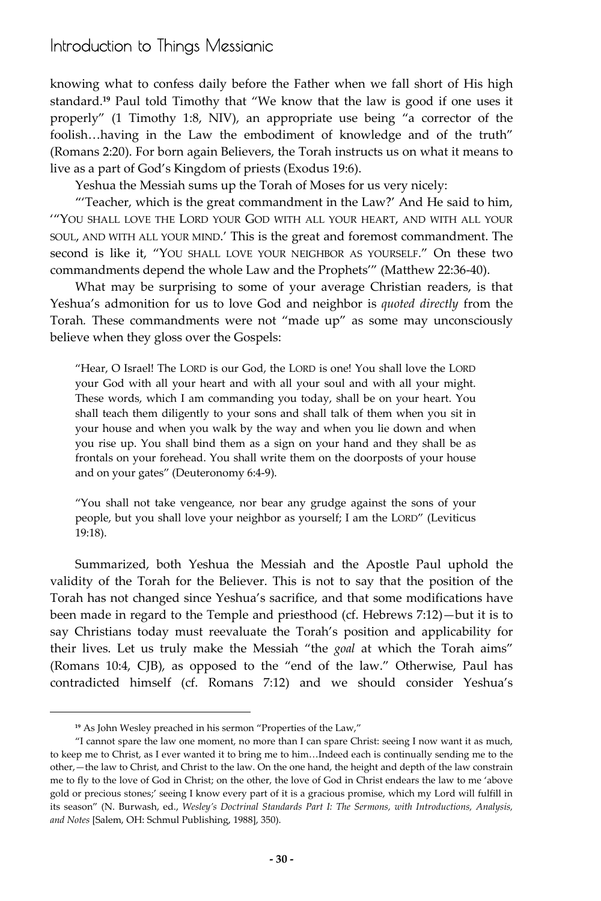knowing what to confess daily before the Father when we fall short of His high standard.**<sup>19</sup>** Paul told Timothy that "We know that the law is good if one uses it properly" (1 Timothy 1:8, NIV), an appropriate use being "a corrector of the foolish…having in the Law the embodiment of knowledge and of the truth" (Romans 2:20). For born again Believers, the Torah instructs us on what it means to live as a part of God's Kingdom of priests (Exodus 19:6).

Yeshua the Messiah sums up the Torah of Moses for us very nicely:

"'Teacher, which is the great commandment in the Law?' And He said to him, '"YOU SHALL LOVE THE LORD YOUR GOD WITH ALL YOUR HEART, AND WITH ALL YOUR SOUL, AND WITH ALL YOUR MIND.' This is the great and foremost commandment. The second is like it, "YOU SHALL LOVE YOUR NEIGHBOR AS YOURSELF." On these two commandments depend the whole Law and the Prophets'" (Matthew 22:36-40).

What may be surprising to some of your average Christian readers, is that Yeshua's admonition for us to love God and neighbor is *quoted directly* from the Torah*.* These commandments were not "made up" as some may unconsciously believe when they gloss over the Gospels:

"Hear, O Israel! The LORD is our God, the LORD is one! You shall love the LORD your God with all your heart and with all your soul and with all your might. These words, which I am commanding you today, shall be on your heart. You shall teach them diligently to your sons and shall talk of them when you sit in your house and when you walk by the way and when you lie down and when you rise up. You shall bind them as a sign on your hand and they shall be as frontals on your forehead. You shall write them on the doorposts of your house and on your gates" (Deuteronomy 6:4-9).

"You shall not take vengeance, nor bear any grudge against the sons of your people, but you shall love your neighbor as yourself; I am the LORD" (Leviticus 19:18).

Summarized, both Yeshua the Messiah and the Apostle Paul uphold the validity of the Torah for the Believer. This is not to say that the position of the Torah has not changed since Yeshua's sacrifice, and that some modifications have been made in regard to the Temple and priesthood (cf. Hebrews 7:12)—but it is to say Christians today must reevaluate the Torah's position and applicability for their lives. Let us truly make the Messiah "the *goal* at which the Torah aims" (Romans 10:4, CJB), as opposed to the "end of the law." Otherwise, Paul has contradicted himself (cf. Romans 7:12) and we should consider Yeshua's

**<sup>19</sup>** As John Wesley preached in his sermon "Properties of the Law,"

<sup>&</sup>quot;I cannot spare the law one moment, no more than I can spare Christ: seeing I now want it as much, to keep me to Christ, as I ever wanted it to bring me to him…Indeed each is continually sending me to the other,—the law to Christ, and Christ to the law. On the one hand, the height and depth of the law constrain me to fly to the love of God in Christ; on the other, the love of God in Christ endears the law to me 'above gold or precious stones;' seeing I know every part of it is a gracious promise, which my Lord will fulfill in its season" (N. Burwash, ed., *Wesley's Doctrinal Standards Part I: The Sermons, with Introductions, Analysis, and Notes* [Salem, OH: Schmul Publishing, 1988], 350).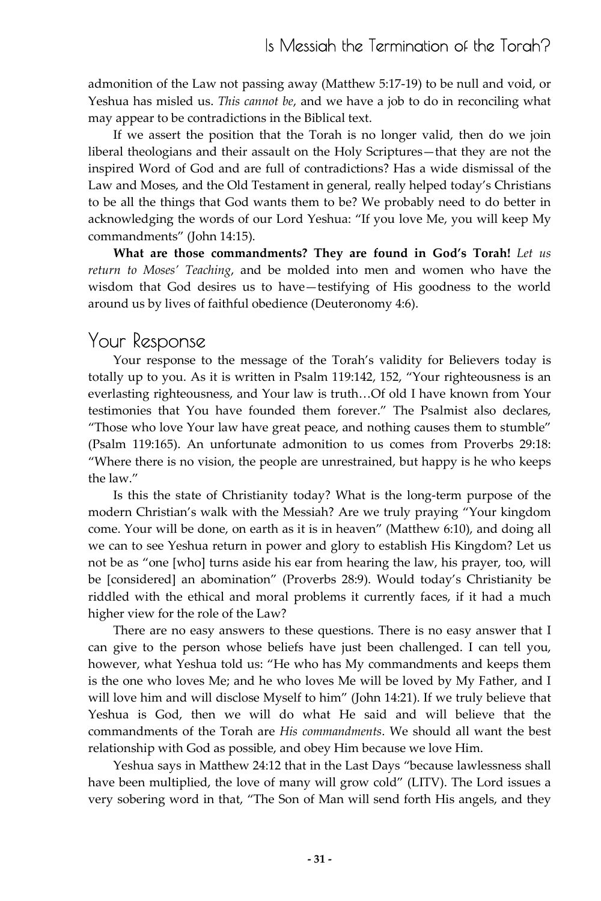admonition of the Law not passing away (Matthew 5:17-19) to be null and void, or Yeshua has misled us. *This cannot be*, and we have a job to do in reconciling what may appear to be contradictions in the Biblical text.

If we assert the position that the Torah is no longer valid, then do we join liberal theologians and their assault on the Holy Scriptures—that they are not the inspired Word of God and are full of contradictions? Has a wide dismissal of the Law and Moses, and the Old Testament in general, really helped today's Christians to be all the things that God wants them to be? We probably need to do better in acknowledging the words of our Lord Yeshua: "If you love Me, you will keep My commandments" (John 14:15).

**What are those commandments? They are found in God's Torah!** *Let us return to Moses' Teaching*, and be molded into men and women who have the wisdom that God desires us to have—testifying of His goodness to the world around us by lives of faithful obedience (Deuteronomy 4:6).

# Your Response

Your response to the message of the Torah's validity for Believers today is totally up to you. As it is written in Psalm 119:142, 152, "Your righteousness is an everlasting righteousness, and Your law is truth…Of old I have known from Your testimonies that You have founded them forever." The Psalmist also declares, "Those who love Your law have great peace, and nothing causes them to stumble" (Psalm 119:165). An unfortunate admonition to us comes from Proverbs 29:18: "Where there is no vision, the people are unrestrained, but happy is he who keeps the law."

Is this the state of Christianity today? What is the long-term purpose of the modern Christian's walk with the Messiah? Are we truly praying "Your kingdom come. Your will be done, on earth as it is in heaven" (Matthew 6:10), and doing all we can to see Yeshua return in power and glory to establish His Kingdom? Let us not be as "one [who] turns aside his ear from hearing the law, his prayer, too, will be [considered] an abomination" (Proverbs 28:9). Would today's Christianity be riddled with the ethical and moral problems it currently faces, if it had a much higher view for the role of the Law?

There are no easy answers to these questions. There is no easy answer that I can give to the person whose beliefs have just been challenged. I can tell you, however, what Yeshua told us: "He who has My commandments and keeps them is the one who loves Me; and he who loves Me will be loved by My Father, and I will love him and will disclose Myself to him" (John 14:21). If we truly believe that Yeshua is God, then we will do what He said and will believe that the commandments of the Torah are *His commandments*. We should all want the best relationship with God as possible, and obey Him because we love Him.

Yeshua says in Matthew 24:12 that in the Last Days "because lawlessness shall have been multiplied, the love of many will grow cold" (LITV). The Lord issues a very sobering word in that, "The Son of Man will send forth His angels, and they